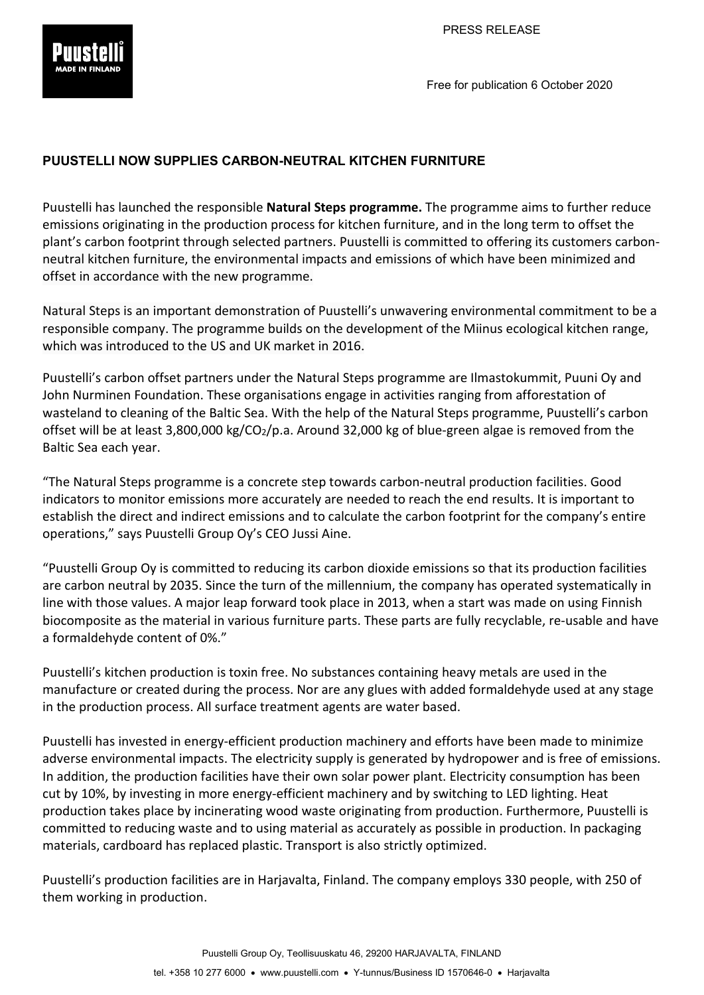

Free for publication 6 October 2020

## **PUUSTELLI NOW SUPPLIES CARBON-NEUTRAL KITCHEN FURNITURE**

Puustelli has launched the responsible **Natural Steps programme.** The programme aims to further reduce emissions originating in the production process for kitchen furniture, and in the long term to offset the plant's carbon footprint through selected partners. Puustelli is committed to offering its customers carbonneutral kitchen furniture, the environmental impacts and emissions of which have been minimized and offset in accordance with the new programme.

Natural Steps is an important demonstration of Puustelli's unwavering environmental commitment to be a responsible company. The programme builds on the development of the Miinus ecological kitchen range, which was introduced to the US and UK market in 2016.

Puustelli's carbon offset partners under the Natural Steps programme are Ilmastokummit, Puuni Oy and John Nurminen Foundation. These organisations engage in activities ranging from afforestation of wasteland to cleaning of the Baltic Sea. With the help of the Natural Steps programme, Puustelli's carbon offset will be at least 3,800,000 kg/CO<sub>2</sub>/p.a. Around 32,000 kg of blue-green algae is removed from the Baltic Sea each year.

"The Natural Steps programme is a concrete step towards carbon-neutral production facilities. Good indicators to monitor emissions more accurately are needed to reach the end results. It is important to establish the direct and indirect emissions and to calculate the carbon footprint for the company's entire operations," says Puustelli Group Oy's CEO Jussi Aine.

"Puustelli Group Oy is committed to reducing its carbon dioxide emissions so that its production facilities are carbon neutral by 2035. Since the turn of the millennium, the company has operated systematically in line with those values. A major leap forward took place in 2013, when a start was made on using Finnish biocomposite as the material in various furniture parts. These parts are fully recyclable, re-usable and have a formaldehyde content of 0%."

Puustelli's kitchen production is toxin free. No substances containing heavy metals are used in the manufacture or created during the process. Nor are any glues with added formaldehyde used at any stage in the production process. All surface treatment agents are water based.

Puustelli has invested in energy-efficient production machinery and efforts have been made to minimize adverse environmental impacts. The electricity supply is generated by hydropower and is free of emissions. In addition, the production facilities have their own solar power plant. Electricity consumption has been cut by 10%, by investing in more energy-efficient machinery and by switching to LED lighting. Heat production takes place by incinerating wood waste originating from production. Furthermore, Puustelli is committed to reducing waste and to using material as accurately as possible in production. In packaging materials, cardboard has replaced plastic. Transport is also strictly optimized.

Puustelli's production facilities are in Harjavalta, Finland. The company employs 330 people, with 250 of them working in production.